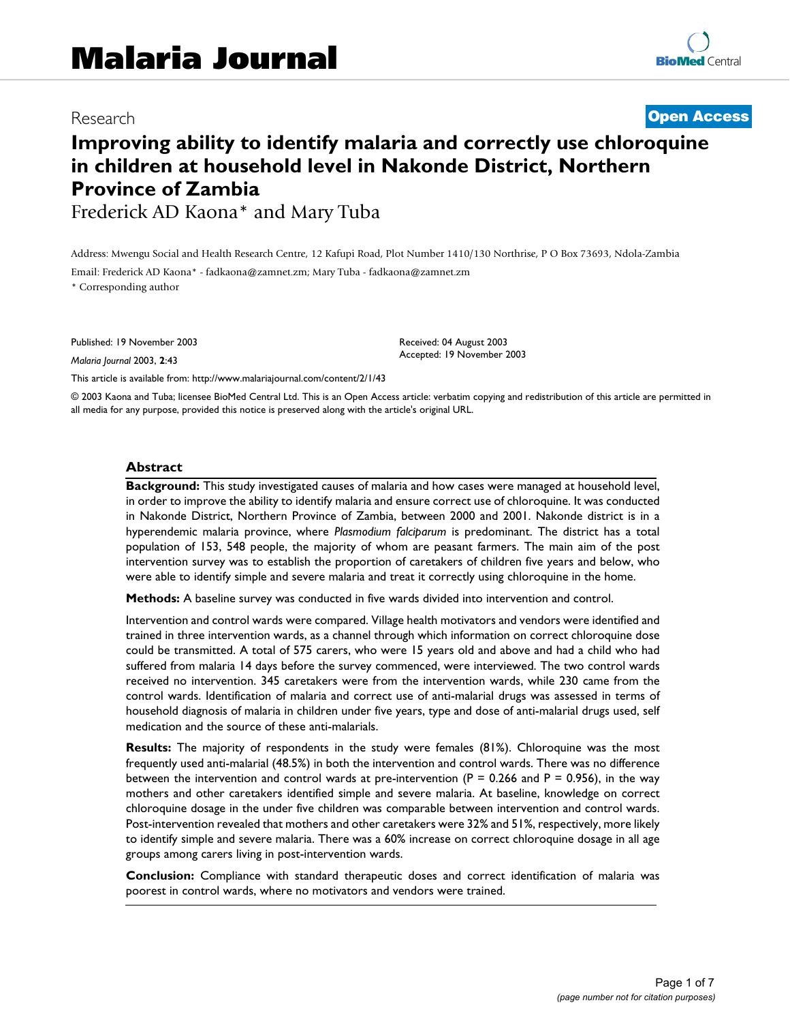Research **[Open Access](http://www.biomedcentral.com/info/about/charter/)**

# **Improving ability to identify malaria and correctly use chloroquine in children at household level in Nakonde District, Northern Province of Zambia**

Frederick AD Kaona\* and Mary Tuba

Address: Mwengu Social and Health Research Centre, 12 Kafupi Road, Plot Number 1410/130 Northrise, P O Box 73693, Ndola-Zambia

Email: Frederick AD Kaona\* - fadkaona@zamnet.zm; Mary Tuba - fadkaona@zamnet.zm \* Corresponding author

Published: 19 November 2003

*Malaria Journal* 2003, **2**:43

[This article is available from: http://www.malariajournal.com/content/2/1/43](http://www.malariajournal.com/content/2/1/43)

Received: 04 August 2003 Accepted: 19 November 2003

© 2003 Kaona and Tuba; licensee BioMed Central Ltd. This is an Open Access article: verbatim copying and redistribution of this article are permitted in all media for any purpose, provided this notice is preserved along with the article's original URL.

#### **Abstract**

**Background:** This study investigated causes of malaria and how cases were managed at household level, in order to improve the ability to identify malaria and ensure correct use of chloroquine. It was conducted in Nakonde District, Northern Province of Zambia, between 2000 and 2001. Nakonde district is in a hyperendemic malaria province, where *Plasmodium falciparum* is predominant. The district has a total population of 153, 548 people, the majority of whom are peasant farmers. The main aim of the post intervention survey was to establish the proportion of caretakers of children five years and below, who were able to identify simple and severe malaria and treat it correctly using chloroquine in the home.

**Methods:** A baseline survey was conducted in five wards divided into intervention and control.

Intervention and control wards were compared. Village health motivators and vendors were identified and trained in three intervention wards, as a channel through which information on correct chloroquine dose could be transmitted. A total of 575 carers, who were 15 years old and above and had a child who had suffered from malaria 14 days before the survey commenced, were interviewed. The two control wards received no intervention. 345 caretakers were from the intervention wards, while 230 came from the control wards. Identification of malaria and correct use of anti-malarial drugs was assessed in terms of household diagnosis of malaria in children under five years, type and dose of anti-malarial drugs used, self medication and the source of these anti-malarials.

**Results:** The majority of respondents in the study were females (81%). Chloroquine was the most frequently used anti-malarial (48.5%) in both the intervention and control wards. There was no difference between the intervention and control wards at pre-intervention ( $P = 0.266$  and  $P = 0.956$ ), in the way mothers and other caretakers identified simple and severe malaria. At baseline, knowledge on correct chloroquine dosage in the under five children was comparable between intervention and control wards. Post-intervention revealed that mothers and other caretakers were 32% and 51%, respectively, more likely to identify simple and severe malaria. There was a 60% increase on correct chloroquine dosage in all age groups among carers living in post-intervention wards.

**Conclusion:** Compliance with standard therapeutic doses and correct identification of malaria was poorest in control wards, where no motivators and vendors were trained.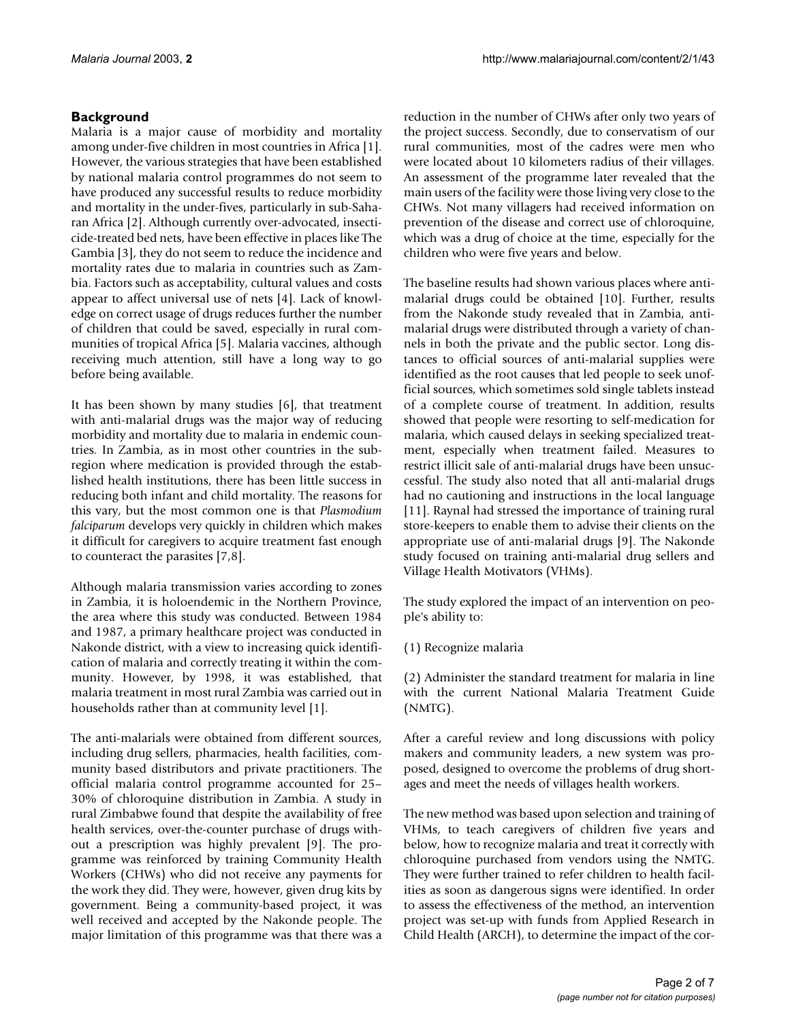# **Background**

Malaria is a major cause of morbidity and mortality among under-five children in most countries in Africa [1]. However, the various strategies that have been established by national malaria control programmes do not seem to have produced any successful results to reduce morbidity and mortality in the under-fives, particularly in sub-Saharan Africa [2]. Although currently over-advocated, insecticide-treated bed nets, have been effective in places like The Gambia [3], they do not seem to reduce the incidence and mortality rates due to malaria in countries such as Zambia. Factors such as acceptability, cultural values and costs appear to affect universal use of nets [4]. Lack of knowledge on correct usage of drugs reduces further the number of children that could be saved, especially in rural communities of tropical Africa [5]. Malaria vaccines, although receiving much attention, still have a long way to go before being available.

It has been shown by many studies [6], that treatment with anti-malarial drugs was the major way of reducing morbidity and mortality due to malaria in endemic countries. In Zambia, as in most other countries in the subregion where medication is provided through the established health institutions, there has been little success in reducing both infant and child mortality. The reasons for this vary, but the most common one is that *Plasmodium falciparum* develops very quickly in children which makes it difficult for caregivers to acquire treatment fast enough to counteract the parasites [7,8].

Although malaria transmission varies according to zones in Zambia, it is holoendemic in the Northern Province, the area where this study was conducted. Between 1984 and 1987, a primary healthcare project was conducted in Nakonde district, with a view to increasing quick identification of malaria and correctly treating it within the community. However, by 1998, it was established, that malaria treatment in most rural Zambia was carried out in households rather than at community level [1].

The anti-malarials were obtained from different sources, including drug sellers, pharmacies, health facilities, community based distributors and private practitioners. The official malaria control programme accounted for 25– 30% of chloroquine distribution in Zambia. A study in rural Zimbabwe found that despite the availability of free health services, over-the-counter purchase of drugs without a prescription was highly prevalent [9]. The programme was reinforced by training Community Health Workers (CHWs) who did not receive any payments for the work they did. They were, however, given drug kits by government. Being a community-based project, it was well received and accepted by the Nakonde people. The major limitation of this programme was that there was a

reduction in the number of CHWs after only two years of the project success. Secondly, due to conservatism of our rural communities, most of the cadres were men who were located about 10 kilometers radius of their villages. An assessment of the programme later revealed that the main users of the facility were those living very close to the CHWs. Not many villagers had received information on prevention of the disease and correct use of chloroquine, which was a drug of choice at the time, especially for the children who were five years and below.

The baseline results had shown various places where antimalarial drugs could be obtained [10]. Further, results from the Nakonde study revealed that in Zambia, antimalarial drugs were distributed through a variety of channels in both the private and the public sector. Long distances to official sources of anti-malarial supplies were identified as the root causes that led people to seek unofficial sources, which sometimes sold single tablets instead of a complete course of treatment. In addition, results showed that people were resorting to self-medication for malaria, which caused delays in seeking specialized treatment, especially when treatment failed. Measures to restrict illicit sale of anti-malarial drugs have been unsuccessful. The study also noted that all anti-malarial drugs had no cautioning and instructions in the local language [11]. Raynal had stressed the importance of training rural store-keepers to enable them to advise their clients on the appropriate use of anti-malarial drugs [9]. The Nakonde study focused on training anti-malarial drug sellers and Village Health Motivators (VHMs).

The study explored the impact of an intervention on people's ability to:

### (1) Recognize malaria

(2) Administer the standard treatment for malaria in line with the current National Malaria Treatment Guide (NMTG).

After a careful review and long discussions with policy makers and community leaders, a new system was proposed, designed to overcome the problems of drug shortages and meet the needs of villages health workers.

The new method was based upon selection and training of VHMs, to teach caregivers of children five years and below, how to recognize malaria and treat it correctly with chloroquine purchased from vendors using the NMTG. They were further trained to refer children to health facilities as soon as dangerous signs were identified. In order to assess the effectiveness of the method, an intervention project was set-up with funds from Applied Research in Child Health (ARCH), to determine the impact of the cor-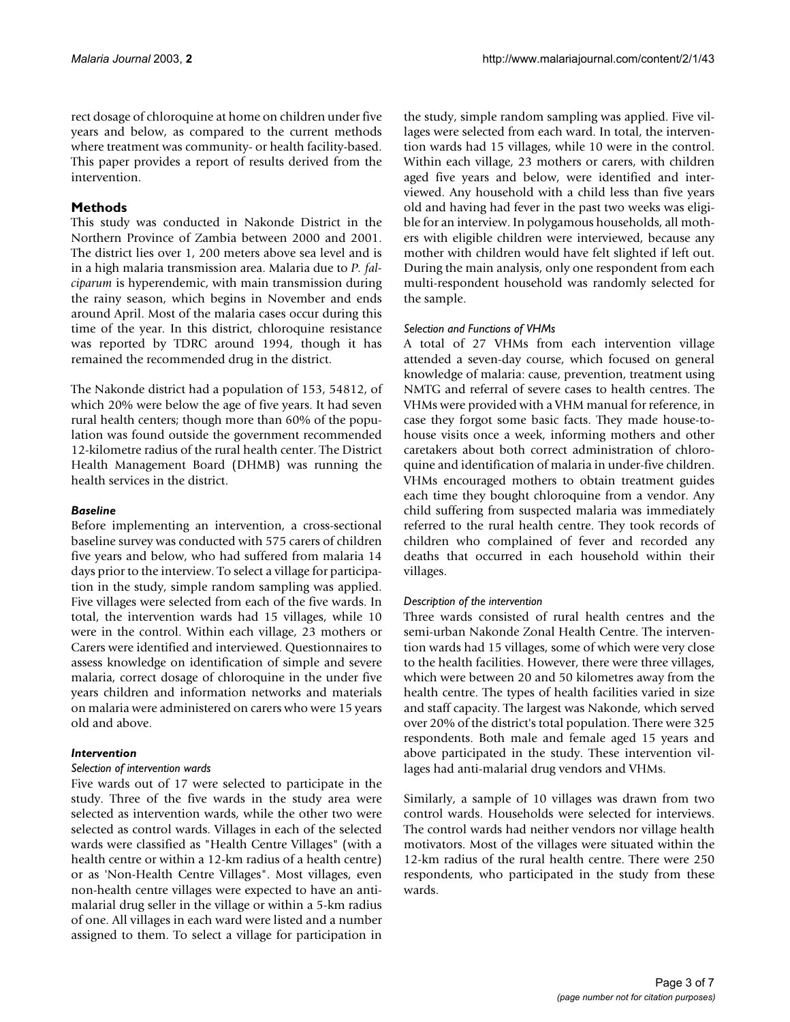rect dosage of chloroquine at home on children under five years and below, as compared to the current methods where treatment was community- or health facility-based. This paper provides a report of results derived from the intervention.

# **Methods**

This study was conducted in Nakonde District in the Northern Province of Zambia between 2000 and 2001. The district lies over 1, 200 meters above sea level and is in a high malaria transmission area. Malaria due to *P. falciparum* is hyperendemic, with main transmission during the rainy season, which begins in November and ends around April. Most of the malaria cases occur during this time of the year. In this district, chloroquine resistance was reported by TDRC around 1994, though it has remained the recommended drug in the district.

The Nakonde district had a population of 153, 54812, of which 20% were below the age of five years. It had seven rural health centers; though more than 60% of the population was found outside the government recommended 12-kilometre radius of the rural health center. The District Health Management Board (DHMB) was running the health services in the district.

### *Baseline*

Before implementing an intervention, a cross-sectional baseline survey was conducted with 575 carers of children five years and below, who had suffered from malaria 14 days prior to the interview. To select a village for participation in the study, simple random sampling was applied. Five villages were selected from each of the five wards. In total, the intervention wards had 15 villages, while 10 were in the control. Within each village, 23 mothers or Carers were identified and interviewed. Questionnaires to assess knowledge on identification of simple and severe malaria, correct dosage of chloroquine in the under five years children and information networks and materials on malaria were administered on carers who were 15 years old and above.

### *Intervention*

### *Selection of intervention wards*

Five wards out of 17 were selected to participate in the study. Three of the five wards in the study area were selected as intervention wards, while the other two were selected as control wards. Villages in each of the selected wards were classified as "Health Centre Villages" (with a health centre or within a 12-km radius of a health centre) or as 'Non-Health Centre Villages". Most villages, even non-health centre villages were expected to have an antimalarial drug seller in the village or within a 5-km radius of one. All villages in each ward were listed and a number assigned to them. To select a village for participation in the study, simple random sampling was applied. Five villages were selected from each ward. In total, the intervention wards had 15 villages, while 10 were in the control. Within each village, 23 mothers or carers, with children aged five years and below, were identified and interviewed. Any household with a child less than five years old and having had fever in the past two weeks was eligible for an interview. In polygamous households, all mothers with eligible children were interviewed, because any mother with children would have felt slighted if left out. During the main analysis, only one respondent from each multi-respondent household was randomly selected for the sample.

# *Selection and Functions of VHMs*

A total of 27 VHMs from each intervention village attended a seven-day course, which focused on general knowledge of malaria: cause, prevention, treatment using NMTG and referral of severe cases to health centres. The VHMs were provided with a VHM manual for reference, in case they forgot some basic facts. They made house-tohouse visits once a week, informing mothers and other caretakers about both correct administration of chloroquine and identification of malaria in under-five children. VHMs encouraged mothers to obtain treatment guides each time they bought chloroquine from a vendor. Any child suffering from suspected malaria was immediately referred to the rural health centre. They took records of children who complained of fever and recorded any deaths that occurred in each household within their villages.

### *Description of the intervention*

Three wards consisted of rural health centres and the semi-urban Nakonde Zonal Health Centre. The intervention wards had 15 villages, some of which were very close to the health facilities. However, there were three villages, which were between 20 and 50 kilometres away from the health centre. The types of health facilities varied in size and staff capacity. The largest was Nakonde, which served over 20% of the district's total population. There were 325 respondents. Both male and female aged 15 years and above participated in the study. These intervention villages had anti-malarial drug vendors and VHMs.

Similarly, a sample of 10 villages was drawn from two control wards. Households were selected for interviews. The control wards had neither vendors nor village health motivators. Most of the villages were situated within the 12-km radius of the rural health centre. There were 250 respondents, who participated in the study from these wards.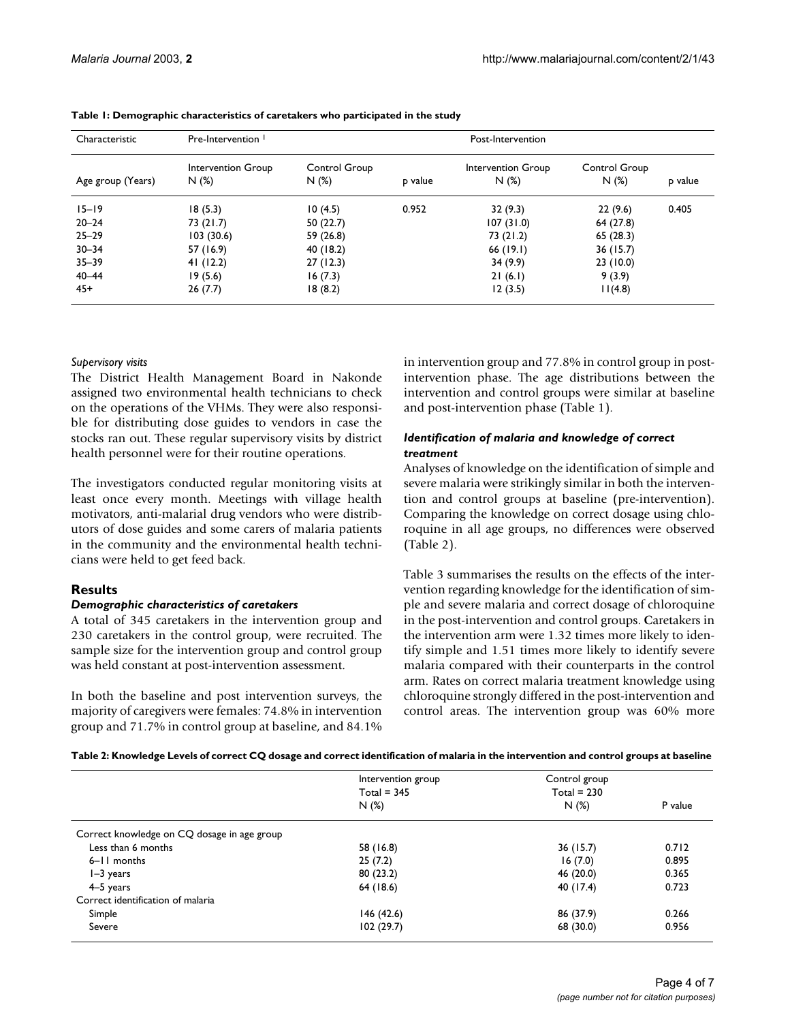| Characteristic<br>Age group (Years) | Pre-Intervention <sup>1</sup> |                       | Post-Intervention |                            |                       |         |
|-------------------------------------|-------------------------------|-----------------------|-------------------|----------------------------|-----------------------|---------|
|                                     | Intervention Group<br>N(%)    | Control Group<br>N(%) | p value           | Intervention Group<br>N(%) | Control Group<br>N(%) | p value |
| $15 - 19$                           | 18(5.3)                       | 10(4.5)               | 0.952             | 32 (9.3)                   | 22(9.6)               | 0.405   |
| $20 - 24$                           | 73 (21.7)                     | 50(22.7)              |                   | 107(31.0)                  | 64 (27.8)             |         |
| $25 - 29$                           | 103(30.6)                     | 59 (26.8)             |                   | 73 (21.2)                  | 65(28.3)              |         |
| $30 - 34$                           | 57 (16.9)                     | 40 (18.2)             |                   | 66 (19.1)                  | 36 (15.7)             |         |
| $35 - 39$                           | 41(12.2)                      | 27(12.3)              |                   | 34(9.9)                    | 23(10.0)              |         |
| $40 - 44$                           | 19(5.6)                       | 16(7.3)               |                   | 21(6.1)                    | 9(3.9)                |         |
| $45+$                               | 26(7.7)                       | 18(8.2)               |                   | 12(3.5)                    | 11(4.8)               |         |

<span id="page-3-0"></span>

|  |  |  |  | Table 1: Demographic characteristics of caretakers who participated in the study |
|--|--|--|--|----------------------------------------------------------------------------------|
|--|--|--|--|----------------------------------------------------------------------------------|

#### *Supervisory visits*

The District Health Management Board in Nakonde assigned two environmental health technicians to check on the operations of the VHMs. They were also responsible for distributing dose guides to vendors in case the stocks ran out. These regular supervisory visits by district health personnel were for their routine operations.

The investigators conducted regular monitoring visits at least once every month. Meetings with village health motivators, anti-malarial drug vendors who were distributors of dose guides and some carers of malaria patients in the community and the environmental health technicians were held to get feed back.

### **Results**

#### *Demographic characteristics of caretakers*

A total of 345 caretakers in the intervention group and 230 caretakers in the control group, were recruited. The sample size for the intervention group and control group was held constant at post-intervention assessment.

In both the baseline and post intervention surveys, the majority of caregivers were females: 74.8% in intervention group and 71.7% in control group at baseline, and 84.1% in intervention group and 77.8% in control group in postintervention phase. The age distributions between the intervention and control groups were similar at baseline and post-intervention phase (Table [1\)](#page-3-0).

#### *Identification of malaria and knowledge of correct treatment*

Analyses of knowledge on the identification of simple and severe malaria were strikingly similar in both the intervention and control groups at baseline (pre-intervention). Comparing the knowledge on correct dosage using chloroquine in all age groups, no differences were observed (Table 2).

Table 3 summarises the results on the effects of the intervention regarding knowledge for the identification of simple and severe malaria and correct dosage of chloroquine in the post-intervention and control groups. **C**aretakers in the intervention arm were 1.32 times more likely to identify simple and 1.51 times more likely to identify severe malaria compared with their counterparts in the control arm. Rates on correct malaria treatment knowledge using chloroquine strongly differed in the post-intervention and control areas. The intervention group was 60% more

| Table 2: Knowledge Levels of correct CQ dosage and correct identification of malaria in the intervention and control groups at baseline |  |  |
|-----------------------------------------------------------------------------------------------------------------------------------------|--|--|
|                                                                                                                                         |  |  |
|                                                                                                                                         |  |  |

|                                             | Intervention group | Control group |         |
|---------------------------------------------|--------------------|---------------|---------|
|                                             | Total = $345$      | Total = $230$ |         |
|                                             | N(%)               | N(%)          | P value |
| Correct knowledge on CQ dosage in age group |                    |               |         |
| Less than 6 months                          | 58 (16.8)          | 36 (15.7)     | 0.712   |
| 6-11 months                                 | 25(7.2)            | 16(7.0)       | 0.895   |
| $I-3$ years                                 | 80(23.2)           | 46 (20.0)     | 0.365   |
| $4-5$ years                                 | 64 (18.6)          | 40 (17.4)     | 0.723   |
| Correct identification of malaria           |                    |               |         |
| Simple                                      | 146 (42.6)         | 86 (37.9)     | 0.266   |
| Severe                                      | 102(29.7)          | 68 (30.0)     | 0.956   |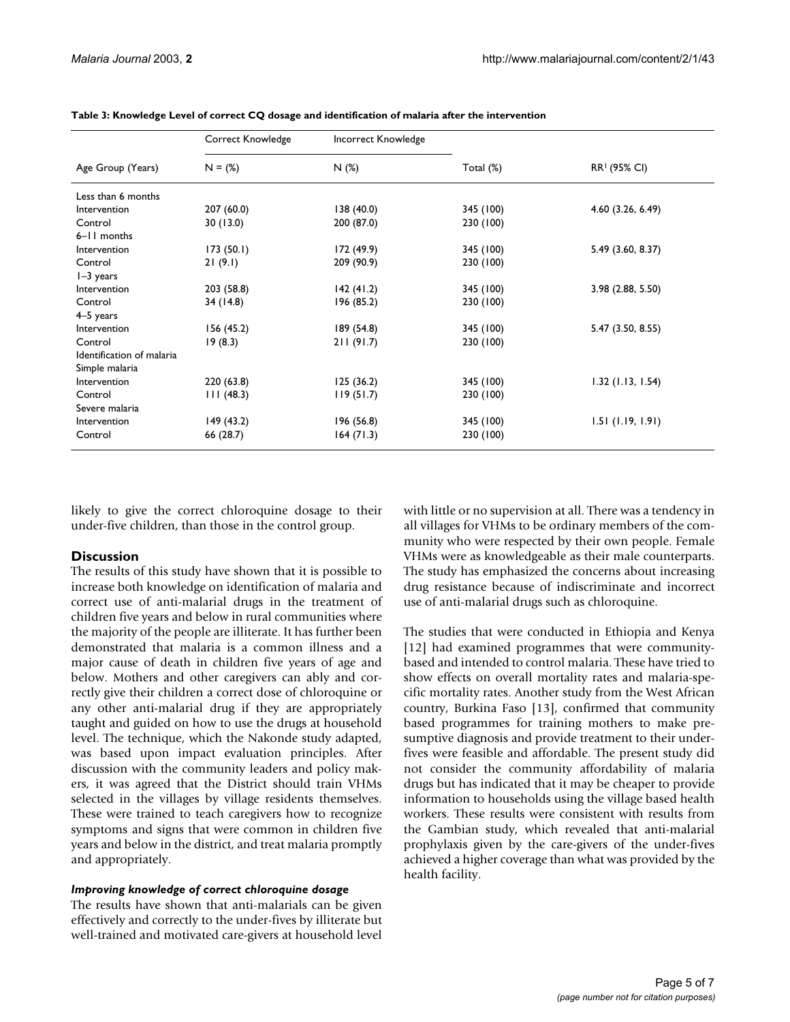|                           | <b>Correct Knowledge</b> | Incorrect Knowledge |           |                          |
|---------------------------|--------------------------|---------------------|-----------|--------------------------|
| Age Group (Years)         | $N = (%)$                | N(%)                | Total (%) | RR <sup>1</sup> (95% CI) |
| Less than 6 months        |                          |                     |           |                          |
| Intervention              | 207 (60.0)               | 138 (40.0)          | 345 (100) | 4.60(3.26, 6.49)         |
| Control                   | 30(13.0)                 | 200 (87.0)          | 230 (100) |                          |
| 6-11 months               |                          |                     |           |                          |
| Intervention              | 173(50.1)                | 172 (49.9)          | 345 (100) | 5.49 (3.60, 8.37)        |
| Control                   | 21(9.1)                  | 209 (90.9)          | 230 (100) |                          |
| $I-3$ years               |                          |                     |           |                          |
| Intervention              | 203 (58.8)               | 142(41.2)           | 345 (100) | 3.98 (2.88, 5.50)        |
| Control                   | 34 (14.8)                | 196 (85.2)          | 230 (100) |                          |
| $4-5$ years               |                          |                     |           |                          |
| Intervention              | 156 (45.2)               | 189(54.8)           | 345 (100) | 5.47 (3.50, 8.55)        |
| Control                   | 19(8.3)                  | 211(91.7)           | 230 (100) |                          |
| Identification of malaria |                          |                     |           |                          |
| Simple malaria            |                          |                     |           |                          |
| Intervention              | 220 (63.8)               | 125(36.2)           | 345 (100) | $1.32$ (1.13, 1.54)      |
| Control                   | 111(48.3)                | 119(51.7)           | 230 (100) |                          |
| Severe malaria            |                          |                     |           |                          |
| Intervention              | 149(43.2)                | 196 (56.8)          | 345 (100) | 1.51(1.19, 1.91)         |
| Control                   | 66 (28.7)                | 164(71.3)           | 230 (100) |                          |

| Table 3: Knowledge Level of correct CQ dosage and identification of malaria after the intervention |  |  |  |
|----------------------------------------------------------------------------------------------------|--|--|--|
|----------------------------------------------------------------------------------------------------|--|--|--|

likely to give the correct chloroquine dosage to their under-five children, than those in the control group.

### **Discussion**

The results of this study have shown that it is possible to increase both knowledge on identification of malaria and correct use of anti-malarial drugs in the treatment of children five years and below in rural communities where the majority of the people are illiterate. It has further been demonstrated that malaria is a common illness and a major cause of death in children five years of age and below. Mothers and other caregivers can ably and correctly give their children a correct dose of chloroquine or any other anti-malarial drug if they are appropriately taught and guided on how to use the drugs at household level. The technique, which the Nakonde study adapted, was based upon impact evaluation principles. After discussion with the community leaders and policy makers, it was agreed that the District should train VHMs selected in the villages by village residents themselves. These were trained to teach caregivers how to recognize symptoms and signs that were common in children five years and below in the district, and treat malaria promptly and appropriately.

#### *Improving knowledge of correct chloroquine dosage*

The results have shown that anti-malarials can be given effectively and correctly to the under-fives by illiterate but well-trained and motivated care-givers at household level

with little or no supervision at all. There was a tendency in all villages for VHMs to be ordinary members of the community who were respected by their own people. Female VHMs were as knowledgeable as their male counterparts. The study has emphasized the concerns about increasing drug resistance because of indiscriminate and incorrect use of anti-malarial drugs such as chloroquine.

The studies that were conducted in Ethiopia and Kenya [12] had examined programmes that were communitybased and intended to control malaria. These have tried to show effects on overall mortality rates and malaria-specific mortality rates. Another study from the West African country, Burkina Faso [13], confirmed that community based programmes for training mothers to make presumptive diagnosis and provide treatment to their underfives were feasible and affordable. The present study did not consider the community affordability of malaria drugs but has indicated that it may be cheaper to provide information to households using the village based health workers. These results were consistent with results from the Gambian study, which revealed that anti-malarial prophylaxis given by the care-givers of the under-fives achieved a higher coverage than what was provided by the health facility.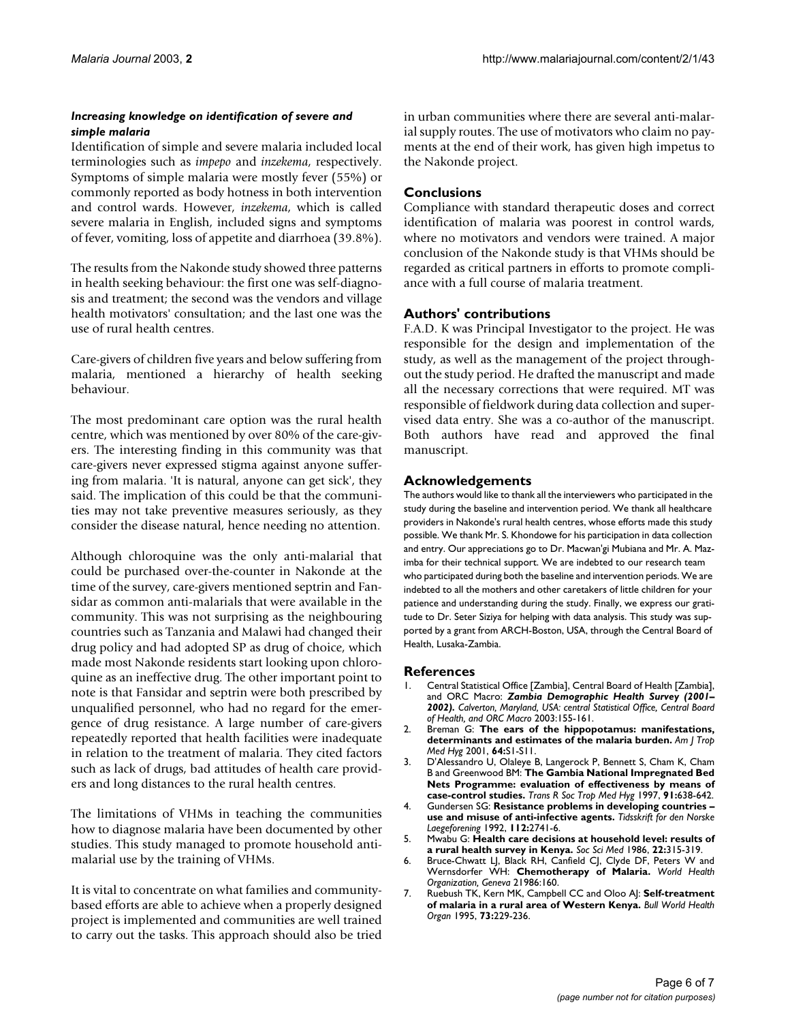### *Increasing knowledge on identification of severe and simple malaria*

Identification of simple and severe malaria included local terminologies such as *impepo* and *inzekema*, respectively. Symptoms of simple malaria were mostly fever (55%) or commonly reported as body hotness in both intervention and control wards. However, *inzekema*, which is called severe malaria in English, included signs and symptoms of fever, vomiting, loss of appetite and diarrhoea (39.8%).

The results from the Nakonde study showed three patterns in health seeking behaviour: the first one was self-diagnosis and treatment; the second was the vendors and village health motivators' consultation; and the last one was the use of rural health centres.

Care-givers of children five years and below suffering from malaria, mentioned a hierarchy of health seeking behaviour.

The most predominant care option was the rural health centre, which was mentioned by over 80% of the care-givers. The interesting finding in this community was that care-givers never expressed stigma against anyone suffering from malaria. 'It is natural, anyone can get sick', they said. The implication of this could be that the communities may not take preventive measures seriously, as they consider the disease natural, hence needing no attention.

Although chloroquine was the only anti-malarial that could be purchased over-the-counter in Nakonde at the time of the survey, care-givers mentioned septrin and Fansidar as common anti-malarials that were available in the community. This was not surprising as the neighbouring countries such as Tanzania and Malawi had changed their drug policy and had adopted SP as drug of choice, which made most Nakonde residents start looking upon chloroquine as an ineffective drug. The other important point to note is that Fansidar and septrin were both prescribed by unqualified personnel, who had no regard for the emergence of drug resistance. A large number of care-givers repeatedly reported that health facilities were inadequate in relation to the treatment of malaria. They cited factors such as lack of drugs, bad attitudes of health care providers and long distances to the rural health centres.

The limitations of VHMs in teaching the communities how to diagnose malaria have been documented by other studies. This study managed to promote household antimalarial use by the training of VHMs.

It is vital to concentrate on what families and communitybased efforts are able to achieve when a properly designed project is implemented and communities are well trained to carry out the tasks. This approach should also be tried in urban communities where there are several anti-malarial supply routes. The use of motivators who claim no payments at the end of their work, has given high impetus to the Nakonde project.

# **Conclusions**

Compliance with standard therapeutic doses and correct identification of malaria was poorest in control wards, where no motivators and vendors were trained. A major conclusion of the Nakonde study is that VHMs should be regarded as critical partners in efforts to promote compliance with a full course of malaria treatment.

### **Authors' contributions**

F.A.D. K was Principal Investigator to the project. He was responsible for the design and implementation of the study, as well as the management of the project throughout the study period. He drafted the manuscript and made all the necessary corrections that were required. MT was responsible of fieldwork during data collection and supervised data entry. She was a co-author of the manuscript. Both authors have read and approved the final manuscript.

# **Acknowledgements**

The authors would like to thank all the interviewers who participated in the study during the baseline and intervention period. We thank all healthcare providers in Nakonde's rural health centres, whose efforts made this study possible. We thank Mr. S. Khondowe for his participation in data collection and entry. Our appreciations go to Dr. Macwan'gi Mubiana and Mr. A. Mazimba for their technical support. We are indebted to our research team who participated during both the baseline and intervention periods. We are indebted to all the mothers and other caretakers of little children for your patience and understanding during the study. Finally, we express our gratitude to Dr. Seter Siziya for helping with data analysis. This study was supported by a grant from ARCH-Boston, USA, through the Central Board of Health, Lusaka-Zambia.

### **References**

- 1. Central Statistical Office [Zambia], Central Board of Health [Zambia], and ORC Macro: *Zambia Demographic Health Survey (2001– 2002). Calverton, Maryland, USA: central Statistical Office, Central Board of Health, and ORC Macro* 2003:155-161.
- 2. Breman G: **The ears of the hippopotamus: manifestations, determinants and estimates of the malaria burden.** *Am J Trop Med Hyg* 2001, **64:**S1-S11.
- 3. D'Alessandro U, Olaleye B, Langerock P, Bennett S, Cham K, Cham B and Greenwood BM: **[The Gambia National Impregnated Bed](http://www.ncbi.nlm.nih.gov/entrez/query.fcgi?cmd=Retrieve&db=PubMed&dopt=Abstract&list_uids=9509168) [Nets Programme: evaluation of effectiveness by means of](http://www.ncbi.nlm.nih.gov/entrez/query.fcgi?cmd=Retrieve&db=PubMed&dopt=Abstract&list_uids=9509168) [case-control studies.](http://www.ncbi.nlm.nih.gov/entrez/query.fcgi?cmd=Retrieve&db=PubMed&dopt=Abstract&list_uids=9509168)** *Trans R Soc Trop Med Hyg* 1997, **91:**638-642.
- 4. Gundersen SG: **[Resistance problems in developing countries –](http://www.ncbi.nlm.nih.gov/entrez/query.fcgi?cmd=Retrieve&db=PubMed&dopt=Abstract&list_uids=1412304) [use and misuse of anti-infective agents.](http://www.ncbi.nlm.nih.gov/entrez/query.fcgi?cmd=Retrieve&db=PubMed&dopt=Abstract&list_uids=1412304)** *Tidsskrift for den Norske Laegeforening* 1992, **112:**2741-6.
- 5. Mwabu G: **[Health care decisions at household level: results of](http://www.ncbi.nlm.nih.gov/entrez/query.fcgi?cmd=Retrieve&db=PubMed&dopt=Abstract&list_uids=10.1016/0277-9536(86)90129-2) [a rural health survey in Kenya](http://www.ncbi.nlm.nih.gov/entrez/query.fcgi?cmd=Retrieve&db=PubMed&dopt=Abstract&list_uids=10.1016/0277-9536(86)90129-2)[.](http://www.ncbi.nlm.nih.gov/entrez/query.fcgi?cmd=Retrieve&db=PubMed&dopt=Abstract&list_uids=3961547)** *Soc Sci Med* 1986, **22:**315-319.
- 6. Bruce-Chwatt LJ, Black RH, Canfield CJ, Clyde DF, Peters W and Wernsdorfer WH: **Chemotherapy of Malaria.** *World Health Organization, Geneva* 21986:160.
- 7. Ruebush TK, Kern MK, Campbell CC and Oloo AJ: **[Self-treatment](http://www.ncbi.nlm.nih.gov/entrez/query.fcgi?cmd=Retrieve&db=PubMed&dopt=Abstract&list_uids=7743595) [of malaria in a rural area of Western Kenya.](http://www.ncbi.nlm.nih.gov/entrez/query.fcgi?cmd=Retrieve&db=PubMed&dopt=Abstract&list_uids=7743595)** *Bull World Health Organ* 1995, **73:**229-236.